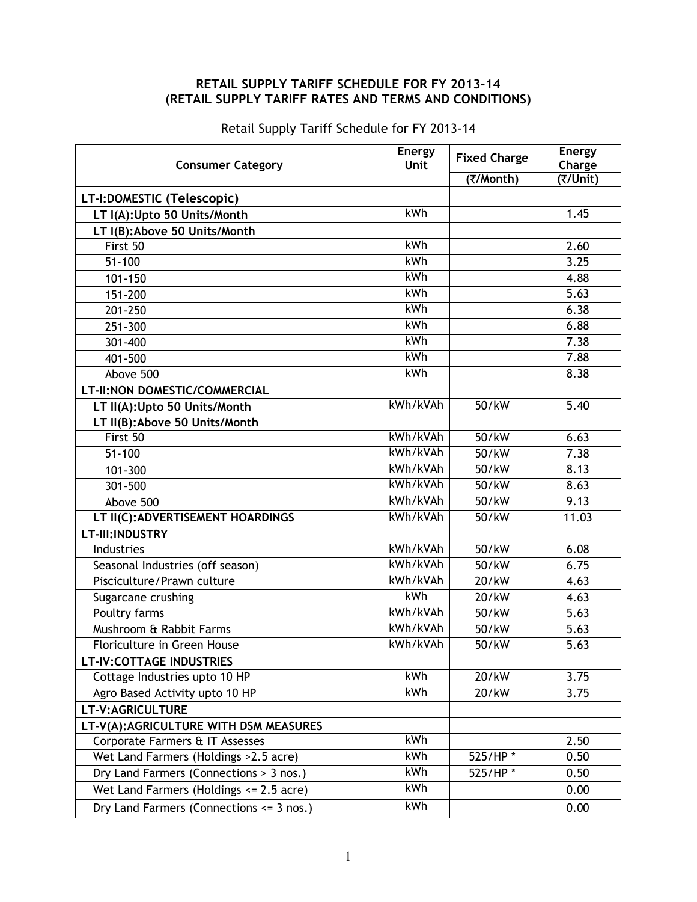## **RETAIL SUPPLY TARIFF SCHEDULE FOR FY 2013-14 (RETAIL SUPPLY TARIFF RATES AND TERMS AND CONDITIONS)**

| <b>Consumer Category</b>                     | <b>Energy</b><br><b>Unit</b> | <b>Fixed Charge</b> | <b>Energy</b><br>Charge |
|----------------------------------------------|------------------------------|---------------------|-------------------------|
|                                              |                              | (₹/Month)           | (₹/Unit)                |
| LT-I:DOMESTIC (Telescopic)                   |                              |                     |                         |
| LT I(A):Upto 50 Units/Month                  | kWh                          |                     | 1.45                    |
| LT I(B): Above 50 Units/Month                |                              |                     |                         |
| First 50                                     | kWh                          |                     | 2.60                    |
| $51 - 100$                                   | kWh                          |                     | 3.25                    |
| 101-150                                      | kWh                          |                     | 4.88                    |
| 151-200                                      | kWh                          |                     | 5.63                    |
| 201-250                                      | kWh                          |                     | 6.38                    |
| 251-300                                      | kWh                          |                     | 6.88                    |
| 301-400                                      | <b>kWh</b>                   |                     | 7.38                    |
| 401-500                                      | kWh                          |                     | 7.88                    |
| Above 500                                    | kWh                          |                     | 8.38                    |
| LT-II:NON DOMESTIC/COMMERCIAL                |                              |                     |                         |
| LT II(A): Upto 50 Units/Month                | kWh/kVAh                     | 50/kW               | 5.40                    |
| LT II(B): Above 50 Units/Month               |                              |                     |                         |
| First 50                                     | kWh/kVAh                     | 50/kW               | 6.63                    |
| $51 - 100$                                   | kWh/kVAh                     | 50/kW               | 7.38                    |
| 101-300                                      | kWh/kVAh                     | 50/kW               | 8.13                    |
| 301-500                                      | kWh/kVAh                     | 50/kW               | 8.63                    |
| Above 500                                    | kWh/kVAh                     | 50/kW               | 9.13                    |
| LT II(C): ADVERTISEMENT HOARDINGS            | kWh/kVAh                     | 50/kW               | 11.03                   |
| LT-III: INDUSTRY                             |                              |                     |                         |
| Industries                                   | kWh/kVAh                     | 50/kW               | 6.08                    |
| Seasonal Industries (off season)             | kWh/kVAh                     | 50/kW               | 6.75                    |
| Pisciculture/Prawn culture                   | kWh/kVAh                     | 20/kW               | 4.63                    |
| Sugarcane crushing                           | kWh                          | 20/kW               | 4.63                    |
| Poultry farms                                | kWh/kVAh                     | 50/kW               | 5.63                    |
| Mushroom & Rabbit Farms                      | kWh/kVAh                     | 50/kW               | 5.63                    |
| Floriculture in Green House                  | kWh/kVAh                     | 50/kW               | 5.63                    |
| <b>LT-IV:COTTAGE INDUSTRIES</b>              |                              |                     |                         |
| Cottage Industries upto 10 HP                | kWh                          | 20/kW               | 3.75                    |
| Agro Based Activity upto 10 HP               | kWh                          | 20/kW               | 3.75                    |
| LT-V:AGRICULTURE                             |                              |                     |                         |
| LT-V(A):AGRICULTURE WITH DSM MEASURES        |                              |                     |                         |
| Corporate Farmers & IT Assesses              | <b>kWh</b>                   |                     | 2.50                    |
| Wet Land Farmers (Holdings > 2.5 acre)       | <b>kWh</b>                   | 525/HP*             | 0.50                    |
| Dry Land Farmers (Connections > 3 nos.)      | kWh                          | 525/HP*             | 0.50                    |
| Wet Land Farmers (Holdings <= 2.5 acre)      | kWh                          |                     | 0.00                    |
| Dry Land Farmers (Connections $\leq$ 3 nos.) | <b>kWh</b>                   |                     | 0.00                    |

Retail Supply Tariff Schedule for FY 2013-14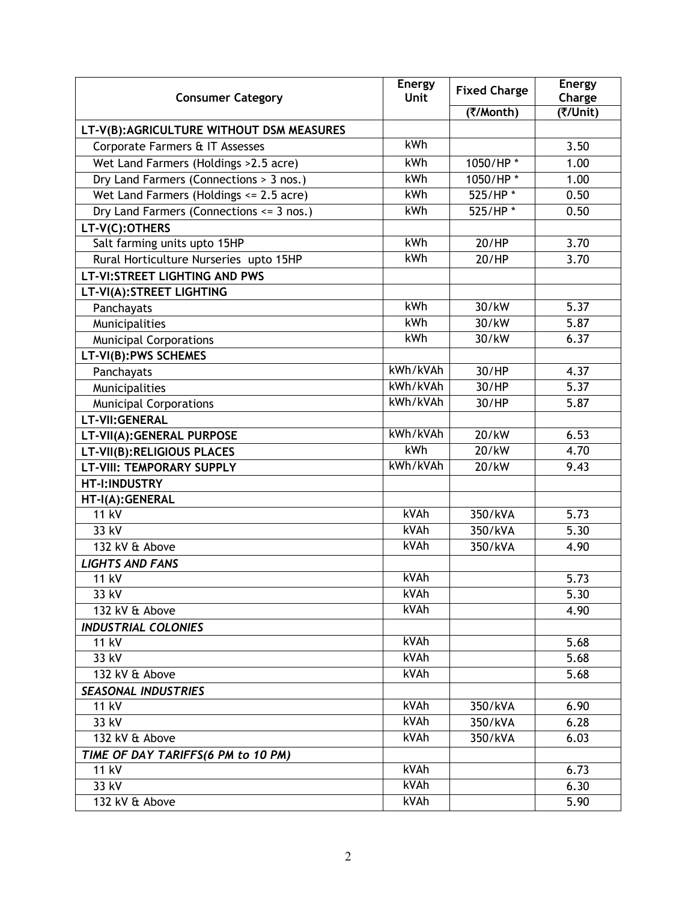| <b>Consumer Category</b>                 | <b>Energy</b><br><b>Unit</b> | <b>Fixed Charge</b> | Energy<br>Charge |
|------------------------------------------|------------------------------|---------------------|------------------|
|                                          |                              | (₹/Month)           | (₹/Unit)         |
| LT-V(B):AGRICULTURE WITHOUT DSM MEASURES |                              |                     |                  |
| Corporate Farmers & IT Assesses          | kWh                          |                     | 3.50             |
| Wet Land Farmers (Holdings > 2.5 acre)   | kWh                          | 1050/HP*            | 1.00             |
| Dry Land Farmers (Connections > 3 nos.)  | kWh                          | 1050/HP*            | 1.00             |
| Wet Land Farmers (Holdings <= 2.5 acre)  | kWh                          | 525/HP*             | 0.50             |
| Dry Land Farmers (Connections <= 3 nos.) | kWh                          | 525/HP*             | 0.50             |
| LT-V(C):OTHERS                           |                              |                     |                  |
| Salt farming units upto 15HP             | kWh                          | 20/HP               | 3.70             |
| Rural Horticulture Nurseries upto 15HP   | kWh                          | 20/HP               | 3.70             |
| <b>LT-VI:STREET LIGHTING AND PWS</b>     |                              |                     |                  |
| LT-VI(A): STREET LIGHTING                |                              |                     |                  |
| Panchayats                               | kWh                          | 30/kW               | 5.37             |
| Municipalities                           | kWh                          | 30/kW               | 5.87             |
| <b>Municipal Corporations</b>            | kWh                          | 30/kW               | 6.37             |
| LT-VI(B): PWS SCHEMES                    |                              |                     |                  |
| Panchayats                               | kWh/kVAh                     | 30/HP               | 4.37             |
| Municipalities                           | kWh/kVAh                     | 30/HP               | 5.37             |
| <b>Municipal Corporations</b>            | kWh/kVAh                     | 30/HP               | 5.87             |
| LT-VII: GENERAL                          |                              |                     |                  |
| LT-VII(A): GENERAL PURPOSE               | kWh/kVAh                     | 20/kW               | 6.53             |
| LT-VII(B):RELIGIOUS PLACES               | kWh                          | 20/kW               | 4.70             |
| <b>LT-VIII: TEMPORARY SUPPLY</b>         | kWh/kVAh                     | 20/kW               | 9.43             |
| HT-I:INDUSTRY                            |                              |                     |                  |
| HT-I(A):GENERAL                          |                              |                     |                  |
| 11 kV                                    | kVAh                         | 350/kVA             | 5.73             |
| 33 kV                                    | kVAh                         | 350/kVA             | 5.30             |
| 132 kV & Above                           | kVAh                         | 350/kVA             | 4.90             |
| <b>LIGHTS AND FANS</b>                   |                              |                     |                  |
| 11 kV                                    | kVAh                         |                     | 5.73             |
| 33 kV                                    | kVAh                         |                     | 5.30             |
| 132 kV & Above                           | kVAh                         |                     | 4.90             |
| <b>INDUSTRIAL COLONIES</b>               |                              |                     |                  |
| 11 kV                                    | kVAh                         |                     | 5.68             |
| 33 kV                                    | kVAh                         |                     | 5.68             |
| 132 kV & Above                           | kVAh                         |                     | 5.68             |
| <b>SEASONAL INDUSTRIES</b>               |                              |                     |                  |
| 11 kV                                    | kVAh                         | 350/kVA             | 6.90             |
| 33 kV                                    | kVAh                         | 350/kVA             | 6.28             |
| 132 kV & Above                           | kVAh                         | 350/kVA             | 6.03             |
| TIME OF DAY TARIFFS(6 PM to 10 PM)       |                              |                     |                  |
| 11 kV                                    | kVAh                         |                     | 6.73             |
| 33 kV                                    | kVAh                         |                     | 6.30             |
| 132 kV & Above                           | kVAh                         |                     | 5.90             |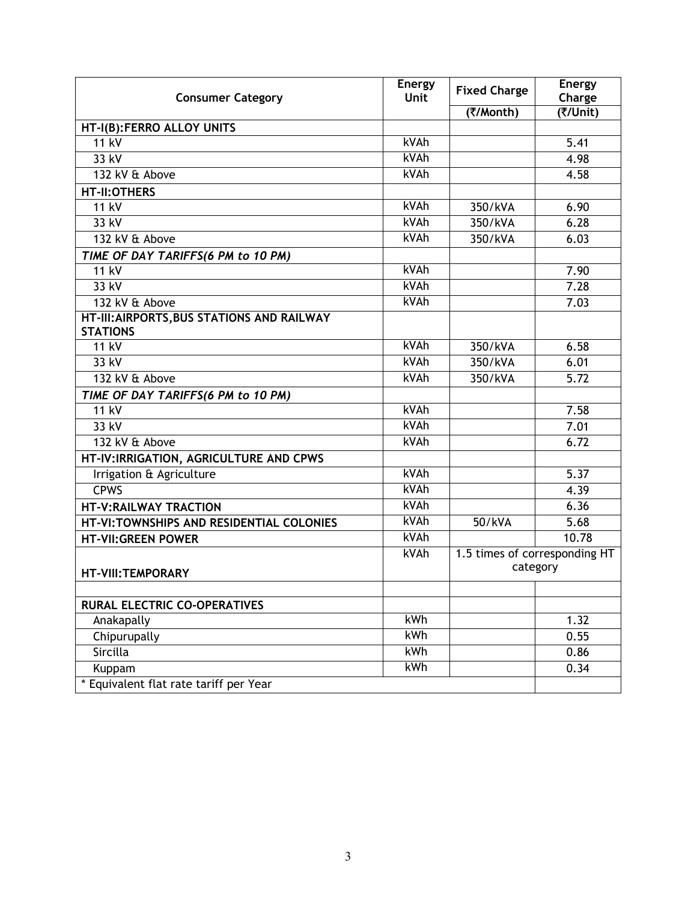| <b>Consumer Category</b>                                      | <b>Energy</b><br>Unit | <b>Fixed Charge</b>                       | <b>Energy</b><br>Charge |
|---------------------------------------------------------------|-----------------------|-------------------------------------------|-------------------------|
|                                                               |                       | (₹/Month)                                 | (Wnit)                  |
| HT-I(B):FERRO ALLOY UNITS                                     |                       |                                           |                         |
| <b>11 kV</b>                                                  | kVAh                  |                                           | 5.41                    |
| 33 kV                                                         | kVAh                  |                                           | 4.98                    |
| 132 kV & Above                                                | kVAh                  |                                           | 4.58                    |
| <b>HT-II:OTHERS</b>                                           |                       |                                           |                         |
| <b>11 kV</b>                                                  | kVAh                  | 350/kVA                                   | 6.90                    |
| 33 kV                                                         | kVAh                  | 350/kVA                                   | 6.28                    |
| 132 kV & Above                                                | kVAh                  | 350/kVA                                   | 6.03                    |
| TIME OF DAY TARIFFS(6 PM to 10 PM)                            |                       |                                           |                         |
| <b>11 kV</b>                                                  | kVAh                  |                                           | 7.90                    |
| 33 kV                                                         | kVAh                  |                                           | 7.28                    |
| 132 kV & Above                                                | kVAh                  |                                           | 7.03                    |
| HT-III: AIRPORTS, BUS STATIONS AND RAILWAY<br><b>STATIONS</b> |                       |                                           |                         |
| <b>11 kV</b>                                                  | kVAh                  | 350/kVA                                   | 6.58                    |
| 33 kV                                                         | kVAh                  | 350/kVA                                   | 6.01                    |
| 132 kV & Above                                                | kVAh                  | 350/kVA                                   | 5.72                    |
| TIME OF DAY TARIFFS(6 PM to 10 PM)                            |                       |                                           |                         |
| <b>11 kV</b>                                                  | kVAh                  |                                           | 7.58                    |
| 33 kV                                                         | kVAh                  |                                           | 7.01                    |
| 132 kV & Above                                                | kVAh                  |                                           | 6.72                    |
| HT-IV:IRRIGATION, AGRICULTURE AND CPWS                        |                       |                                           |                         |
| Irrigation & Agriculture                                      | kVAh                  |                                           | 5.37                    |
| <b>CPWS</b>                                                   | kVAh                  |                                           | 4.39                    |
| <b>HT-V:RAILWAY TRACTION</b>                                  | kVAh                  |                                           | 6.36                    |
| HT-VI:TOWNSHIPS AND RESIDENTIAL COLONIES                      | kVAh                  | 50/kVA                                    | 5.68                    |
| <b>HT-VII: GREEN POWER</b>                                    | kVAh                  |                                           | 10.78                   |
| <b>HT-VIII:TEMPORARY</b>                                      | kVAh                  | 1.5 times of corresponding HT<br>category |                         |
| <b>RURAL ELECTRIC CO-OPERATIVES</b>                           |                       |                                           |                         |
| Anakapally                                                    | <b>kWh</b>            |                                           | 1.32                    |
| Chipurupally                                                  | kWh                   |                                           | 0.55                    |
| Sircilla                                                      | kWh                   |                                           | 0.86                    |
| Kuppam                                                        | kWh                   |                                           | 0.34                    |
| * Equivalent flat rate tariff per Year                        |                       |                                           |                         |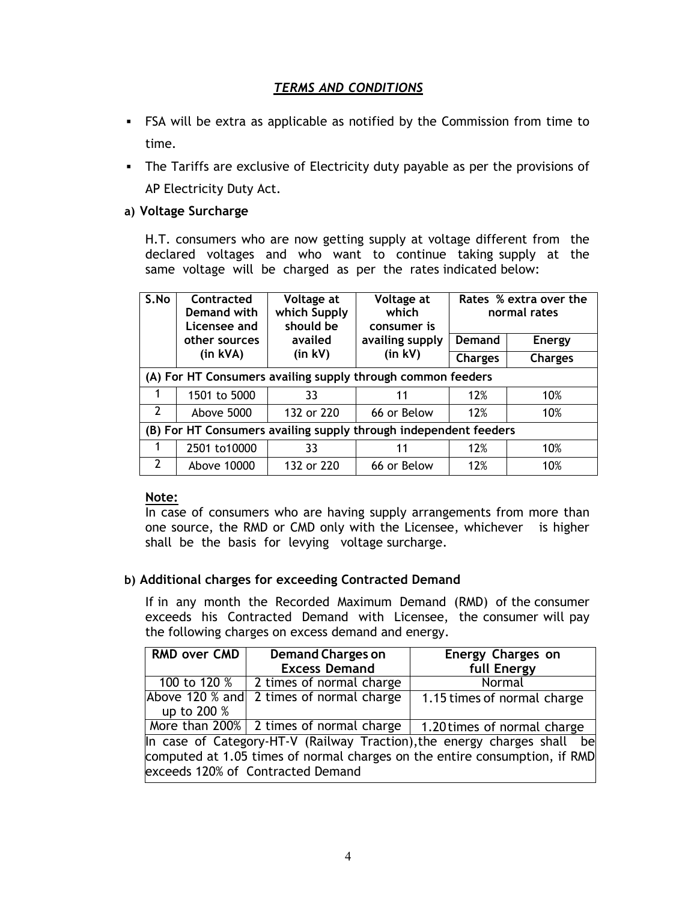## *TERMS AND CONDITIONS*

- FSA will be extra as applicable as notified by the Commission from time to time.
- The Tariffs are exclusive of Electricity duty payable as per the provisions of AP Electricity Duty Act.

#### **a) Voltage Surcharge**

H.T. consumers who are now getting supply at voltage different from the declared voltages and who want to continue taking supply at the same voltage will be charged as per the rates indicated below:

| S.No                                                             | <b>Contracted</b><br>Demand with<br>Licensee and | Voltage at<br>which Supply<br>should be | Voltage at<br>which<br>consumer is |                | Rates % extra over the<br>normal rates |
|------------------------------------------------------------------|--------------------------------------------------|-----------------------------------------|------------------------------------|----------------|----------------------------------------|
|                                                                  | other sources                                    | availed                                 | availing supply                    | Demand         | <b>Energy</b>                          |
|                                                                  | $(in$ kVA $)$                                    | $(in$ kV $)$                            | $(in$ kV $)$                       | <b>Charges</b> | <b>Charges</b>                         |
| (A) For HT Consumers availing supply through common feeders      |                                                  |                                         |                                    |                |                                        |
|                                                                  | 1501 to 5000                                     | 33                                      | 11                                 | 12%            | 10%                                    |
| $\mathcal{P}$                                                    | Above 5000                                       | 132 or 220                              | 66 or Below                        | 12%            | 10%                                    |
| (B) For HT Consumers availing supply through independent feeders |                                                  |                                         |                                    |                |                                        |
| 1                                                                | 2501 to10000                                     | 33                                      | 11                                 | 12%            | 10%                                    |
| $\overline{2}$                                                   | Above 10000                                      | 132 or 220                              | 66 or Below                        | 12%            | 10%                                    |

#### **Note:**

In case of consumers who are having supply arrangements from more than one source, the RMD or CMD only with the Licensee, whichever is higher shall be the basis for levying voltage surcharge.

#### **b) Additional charges for exceeding Contracted Demand**

If in any month the Recorded Maximum Demand (RMD) of the consumer exceeds his Contracted Demand with Licensee, the consumer will pay the following charges on excess demand and energy.

| <b>RMD over CMD</b>                                                                                                                                    | <b>Demand Charges on</b>                 | Energy Charges on                                                     |  |
|--------------------------------------------------------------------------------------------------------------------------------------------------------|------------------------------------------|-----------------------------------------------------------------------|--|
|                                                                                                                                                        | <b>Excess Demand</b>                     | full Energy                                                           |  |
| 100 to 120 %                                                                                                                                           | 2 times of normal charge                 | Normal                                                                |  |
|                                                                                                                                                        | Above 120 % and 2 times of normal charge | 1.15 times of normal charge                                           |  |
| up to 200 %                                                                                                                                            |                                          |                                                                       |  |
|                                                                                                                                                        |                                          | More than 200% 2 times of normal charge   1.20 times of normal charge |  |
| In case of Category-HT-V (Railway Traction), the energy charges shall be<br>computed at 1.05 times of normal charges on the entire consumption, if RMD |                                          |                                                                       |  |
|                                                                                                                                                        | exceeds 120% of Contracted Demand        |                                                                       |  |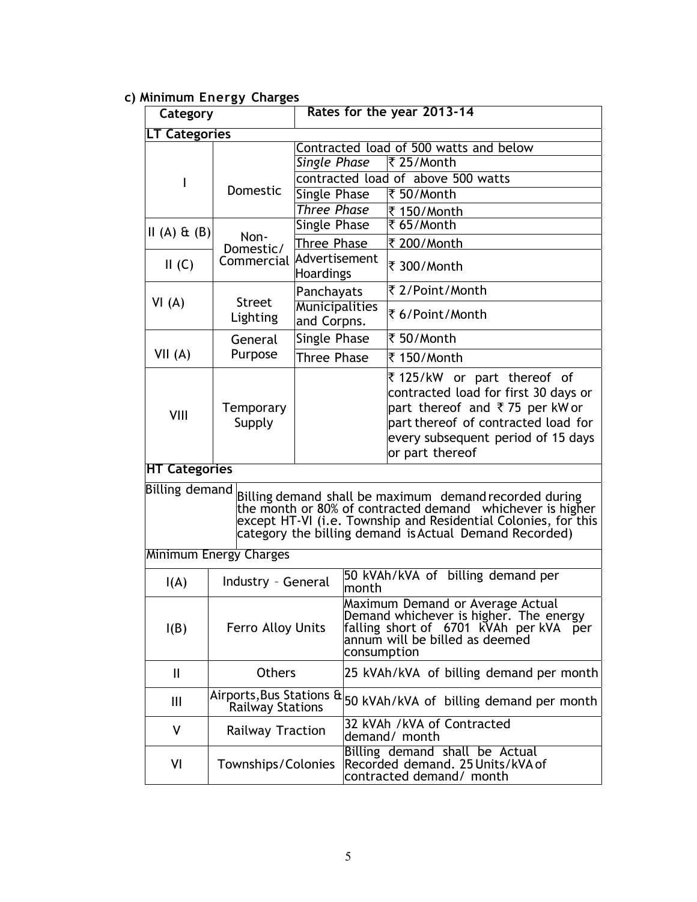# **c) Minimum Energy Charges**

| Category                                                                                                                                                                                                                                                                 |                                                     |                                                                  |                                                                                                                                                                       | Rates for the year 2013-14                                                                                                                                             |
|--------------------------------------------------------------------------------------------------------------------------------------------------------------------------------------------------------------------------------------------------------------------------|-----------------------------------------------------|------------------------------------------------------------------|-----------------------------------------------------------------------------------------------------------------------------------------------------------------------|------------------------------------------------------------------------------------------------------------------------------------------------------------------------|
|                                                                                                                                                                                                                                                                          | LT Categories                                       |                                                                  |                                                                                                                                                                       |                                                                                                                                                                        |
|                                                                                                                                                                                                                                                                          |                                                     | Single Phase                                                     |                                                                                                                                                                       | Contracted load of 500 watts and below<br>₹ 25/Month                                                                                                                   |
| I                                                                                                                                                                                                                                                                        |                                                     |                                                                  |                                                                                                                                                                       | contracted load of above 500 watts                                                                                                                                     |
|                                                                                                                                                                                                                                                                          | Domestic                                            | Single Phase                                                     |                                                                                                                                                                       | ₹ 50/Month                                                                                                                                                             |
|                                                                                                                                                                                                                                                                          |                                                     | <b>Three Phase</b>                                               |                                                                                                                                                                       | ₹ 150/Month                                                                                                                                                            |
| $II(A)$ $E(B)$                                                                                                                                                                                                                                                           | Non-                                                | Single Phase                                                     |                                                                                                                                                                       | ₹65/Month                                                                                                                                                              |
|                                                                                                                                                                                                                                                                          | Domestic/                                           | Three Phase                                                      |                                                                                                                                                                       | ₹ 200/Month                                                                                                                                                            |
| II(G)                                                                                                                                                                                                                                                                    | Commercial                                          | Advertisement<br>Hoardings                                       |                                                                                                                                                                       | ₹ 300/Month                                                                                                                                                            |
|                                                                                                                                                                                                                                                                          |                                                     | Panchayats                                                       |                                                                                                                                                                       | ₹ 2/Point/Month                                                                                                                                                        |
| VI(A)                                                                                                                                                                                                                                                                    | <b>Street</b><br>Lighting                           | Municipalities<br>and Corpns.                                    |                                                                                                                                                                       | ₹ 6/Point/Month                                                                                                                                                        |
|                                                                                                                                                                                                                                                                          | General                                             | Single Phase                                                     |                                                                                                                                                                       | ₹ 50/Month                                                                                                                                                             |
| VII(A)                                                                                                                                                                                                                                                                   | Purpose                                             | Three Phase                                                      |                                                                                                                                                                       | ₹ 150/Month                                                                                                                                                            |
| VIII                                                                                                                                                                                                                                                                     | Temporary<br>Supply                                 | ₹125/kW or part thereof of                                       |                                                                                                                                                                       | contracted load for first 30 days or<br>part thereof and ₹75 per kW or<br>part thereof of contracted load for<br>every subsequent period of 15 days<br>or part thereof |
| <b>HT Categories</b>                                                                                                                                                                                                                                                     |                                                     |                                                                  |                                                                                                                                                                       |                                                                                                                                                                        |
| <b>Billing demand</b><br>Billing demand shall be maximum demand recorded during<br>the month or 80% of contracted demand whichever is higher<br>except HT-VI (i.e. Township and Residential Colonies, for this<br>category the billing demand is Actual Demand Recorded) |                                                     |                                                                  |                                                                                                                                                                       |                                                                                                                                                                        |
|                                                                                                                                                                                                                                                                          | <b>Minimum Energy Charges</b>                       |                                                                  |                                                                                                                                                                       |                                                                                                                                                                        |
| I(A)                                                                                                                                                                                                                                                                     |                                                     | 50 kVAh/kVA of billing demand per<br>Industry - General<br>month |                                                                                                                                                                       |                                                                                                                                                                        |
| I(B)                                                                                                                                                                                                                                                                     | Ferro Alloy Units                                   |                                                                  | Maximum Demand or Average Actual<br>Demand whichever is higher. The energy<br>falling short of 6701 kVAh per kVA per<br>annum will be billed as deemed<br>consumption |                                                                                                                                                                        |
| Ш                                                                                                                                                                                                                                                                        | <b>Others</b>                                       |                                                                  | 25 kVAh/kVA of billing demand per month                                                                                                                               |                                                                                                                                                                        |
| Ш                                                                                                                                                                                                                                                                        | Airports, Bus Stations &<br><b>Railway Stations</b> |                                                                  | 50 kVAh/kVA of billing demand per month                                                                                                                               |                                                                                                                                                                        |
| V                                                                                                                                                                                                                                                                        | Railway Traction                                    |                                                                  | 32 kVAh /kVA of Contracted<br>demand/ month                                                                                                                           |                                                                                                                                                                        |
| VI                                                                                                                                                                                                                                                                       | Townships/Colonies                                  |                                                                  | Billing demand shall be Actual<br>Recorded demand. 25 Units/kVA of<br>contracted demand/ month                                                                        |                                                                                                                                                                        |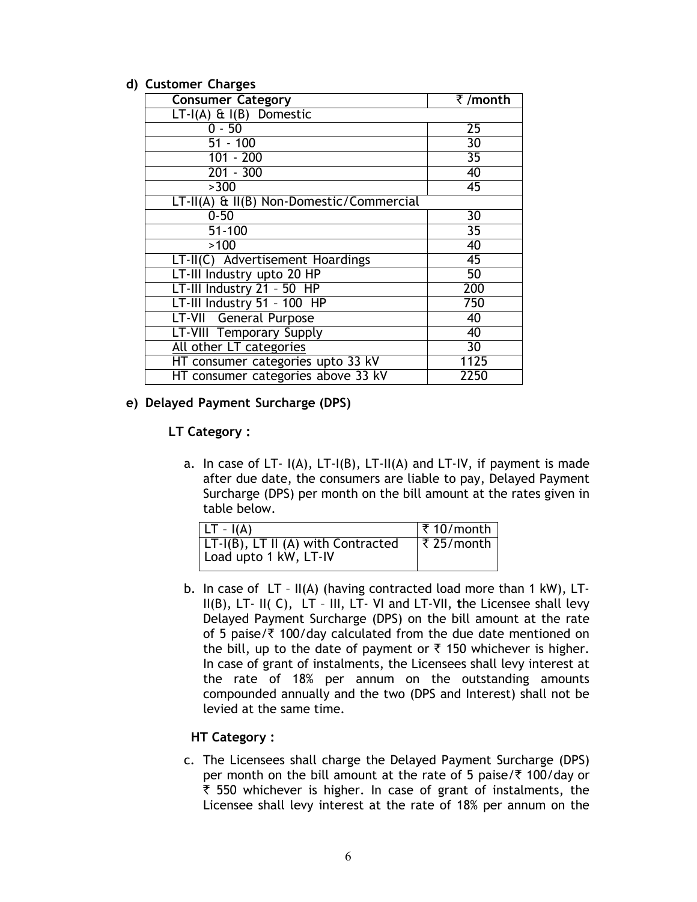#### **d) Customer Charges**

| <b>Consumer Category</b>                 | ₹/month         |
|------------------------------------------|-----------------|
| $LT-I(A)$ & $I(B)$ Domestic              |                 |
| $0 - 50$                                 | $\overline{25}$ |
| $51 - 100$                               | 30              |
| $101 - 200$                              | $\overline{35}$ |
| $201 - 300$                              | 40              |
| >300                                     | 45              |
| LT-II(A) & II(B) Non-Domestic/Commercial |                 |
| $0 - 50$                                 | $\overline{30}$ |
| $51 - 100$                               | $\overline{35}$ |
| >100                                     | 40              |
| LT-II(C) Advertisement Hoardings         | $\overline{45}$ |
| LT-III Industry upto 20 HP               | 50              |
| LT-III Industry 21 - 50 HP               | 200             |
| LT-III Industry 51 - 100 HP              | 750             |
| <b>LT-VII</b> General Purpose            | 40              |
| LT-VIII Temporary Supply                 | 40              |
| All other LT categories                  | $\overline{30}$ |
| HT consumer categories upto 33 kV        | 1125            |
| HT consumer categories above 33 kV       | 2250            |

#### **e) Delayed Payment Surcharge (DPS)**

#### **LT Category :**

a. In case of LT- $I(A)$ , LT- $I(B)$ , LT- $II(A)$  and LT-IV, if payment is made after due date, the consumers are liable to pay, Delayed Payment Surcharge (DPS) per month on the bill amount at the rates given in table below.

| $ LT - I(A) $                                               | ₹ 10/month          |
|-------------------------------------------------------------|---------------------|
| LT-I(B), LT II (A) with Contracted<br>Load upto 1 kW, LT-IV | $ \bar{z}$ 25/month |

b. In case of LT – II(A) (having contracted load more than 1 kW), LT-II(B), LT- II( C), LT – III, LT- VI and LT-VII, **t**he Licensee shall levy Delayed Payment Surcharge (DPS) on the bill amount at the rate of 5 paise/ $\bar{\tau}$  100/day calculated from the due date mentioned on the bill, up to the date of payment or  $\bar{\tau}$  150 whichever is higher. In case of grant of instalments, the Licensees shall levy interest at the rate of 18% per annum on the outstanding amounts compounded annually and the two (DPS and Interest) shall not be levied at the same time.

#### **HT Category :**

c. The Licensees shall charge the Delayed Payment Surcharge (DPS) per month on the bill amount at the rate of 5 paise/ $\bar{\tau}$  100/day or  $\bar{\tau}$  550 whichever is higher. In case of grant of instalments, the Licensee shall levy interest at the rate of 18% per annum on the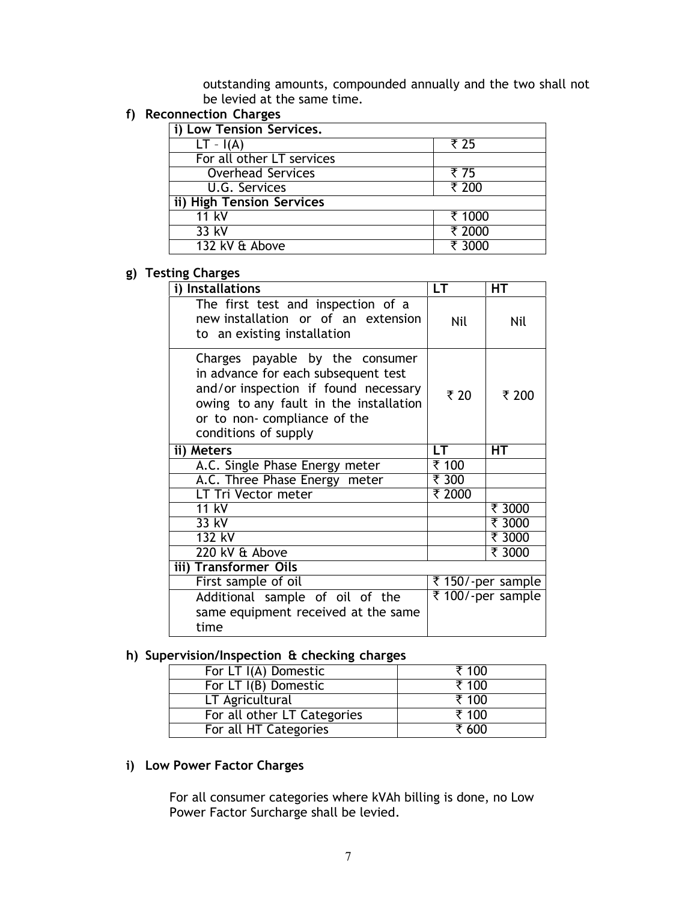outstanding amounts, compounded annually and the two shall not be levied at the same time.

# **f) Reconnection Charges**

| i) Low Tension Services.  |        |
|---------------------------|--------|
| $LT - I(A)$               | ₹ 25   |
| For all other LT services |        |
| <b>Overhead Services</b>  | ₹ 75   |
| U.G. Services             | ₹ 200  |
| ii) High Tension Services |        |
| 11 kV                     | ₹ 1000 |
| 33 kV                     | ₹ 2000 |
| 132 kV & Above            | ₹ 3000 |

## **g) Testing Charges**

| LT.    | HТ                               |
|--------|----------------------------------|
| Nil    | Nil                              |
| ₹ 20   | ₹ 200                            |
| LT.    | <b>HT</b>                        |
|        |                                  |
| ₹ 300  |                                  |
| ₹ 2000 |                                  |
|        | ₹ 3000                           |
|        | ₹ 3000                           |
|        | $\overline{\overline{\xi}}$ 3000 |
|        | ₹ 3000                           |
|        |                                  |
|        | ₹ 150/-per sample                |
|        | ₹ 100/-per sample                |
|        | ₹ 100                            |

## **h) Supervision/Inspection & checking charges**

| For LT I(A) Domestic        | ₹ 100 |
|-----------------------------|-------|
| For LT I(B) Domestic        | ₹ 100 |
| LT Agricultural             | ₹ 100 |
| For all other LT Categories | ₹ 100 |
| For all HT Categories       | ₹ 600 |

## **i) Low Power Factor Charges**

For all consumer categories where kVAh billing is done, no Low Power Factor Surcharge shall be levied.